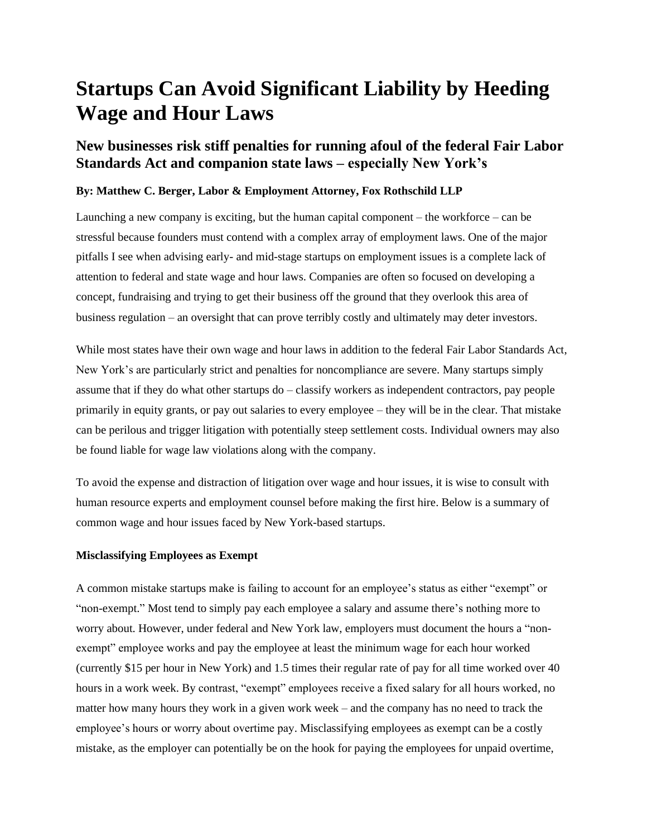# **Startups Can Avoid Significant Liability by Heeding Wage and Hour Laws**

## **New businesses risk stiff penalties for running afoul of the federal Fair Labor Standards Act and companion state laws – especially New York's**

## **By: Matthew C. Berger, Labor & Employment Attorney, Fox Rothschild LLP**

Launching a new company is exciting, but the human capital component – the workforce – can be stressful because founders must contend with a complex array of employment laws. One of the major pitfalls I see when advising early- and mid-stage startups on employment issues is a complete lack of attention to federal and state wage and hour laws. Companies are often so focused on developing a concept, fundraising and trying to get their business off the ground that they overlook this area of business regulation – an oversight that can prove terribly costly and ultimately may deter investors.

While most states have their own wage and hour laws in addition to the federal Fair Labor Standards Act, New York's are particularly strict and penalties for noncompliance are severe. Many startups simply assume that if they do what other startups do – classify workers as independent contractors, pay people primarily in equity grants, or pay out salaries to every employee – they will be in the clear. That mistake can be perilous and trigger litigation with potentially steep settlement costs. Individual owners may also be found liable for wage law violations along with the company.

To avoid the expense and distraction of litigation over wage and hour issues, it is wise to consult with human resource experts and employment counsel before making the first hire. Below is a summary of common wage and hour issues faced by New York-based startups.

## **Misclassifying Employees as Exempt**

A common mistake startups make is failing to account for an employee's status as either "exempt" or "non-exempt." Most tend to simply pay each employee a salary and assume there's nothing more to worry about. However, under federal and New York law, employers must document the hours a "nonexempt" employee works and pay the employee at least the minimum wage for each hour worked (currently \$15 per hour in New York) and 1.5 times their regular rate of pay for all time worked over 40 hours in a work week. By contrast, "exempt" employees receive a fixed salary for all hours worked, no matter how many hours they work in a given work week – and the company has no need to track the employee's hours or worry about overtime pay. Misclassifying employees as exempt can be a costly mistake, as the employer can potentially be on the hook for paying the employees for unpaid overtime,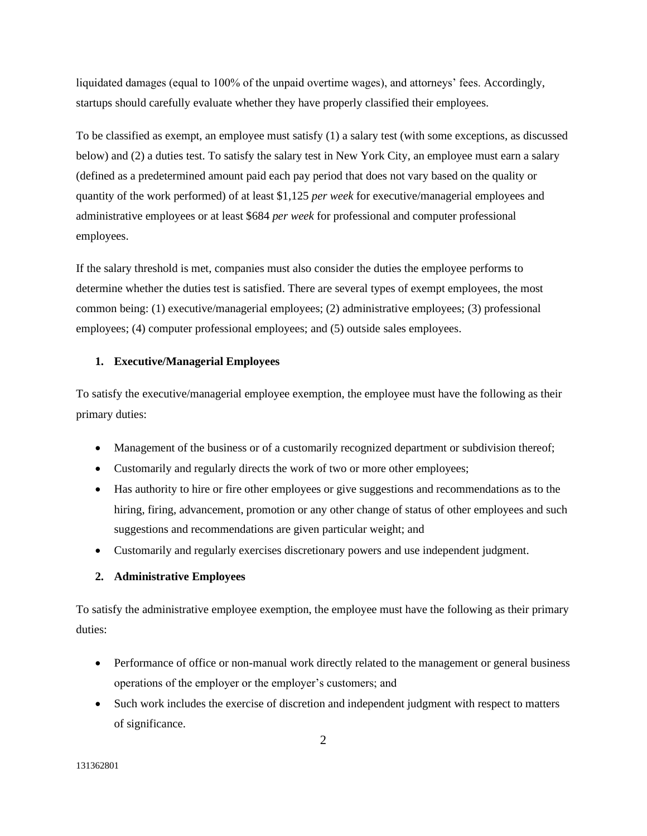liquidated damages (equal to 100% of the unpaid overtime wages), and attorneys' fees. Accordingly, startups should carefully evaluate whether they have properly classified their employees.

To be classified as exempt, an employee must satisfy (1) a salary test (with some exceptions, as discussed below) and (2) a duties test. To satisfy the salary test in New York City, an employee must earn a salary (defined as a predetermined amount paid each pay period that does not vary based on the quality or quantity of the work performed) of at least \$1,125 *per week* for executive/managerial employees and administrative employees or at least \$684 *per week* for professional and computer professional employees.

If the salary threshold is met, companies must also consider the duties the employee performs to determine whether the duties test is satisfied. There are several types of exempt employees, the most common being: (1) executive/managerial employees; (2) administrative employees; (3) professional employees; (4) computer professional employees; and (5) outside sales employees.

### **1. Executive/Managerial Employees**

To satisfy the executive/managerial employee exemption, the employee must have the following as their primary duties:

- Management of the business or of a customarily recognized department or subdivision thereof;
- Customarily and regularly directs the work of two or more other employees;
- Has authority to hire or fire other employees or give suggestions and recommendations as to the hiring, firing, advancement, promotion or any other change of status of other employees and such suggestions and recommendations are given particular weight; and
- Customarily and regularly exercises discretionary powers and use independent judgment.

## **2. Administrative Employees**

To satisfy the administrative employee exemption, the employee must have the following as their primary duties:

- Performance of office or non-manual work directly related to the management or general business operations of the employer or the employer's customers; and
- Such work includes the exercise of discretion and independent judgment with respect to matters of significance.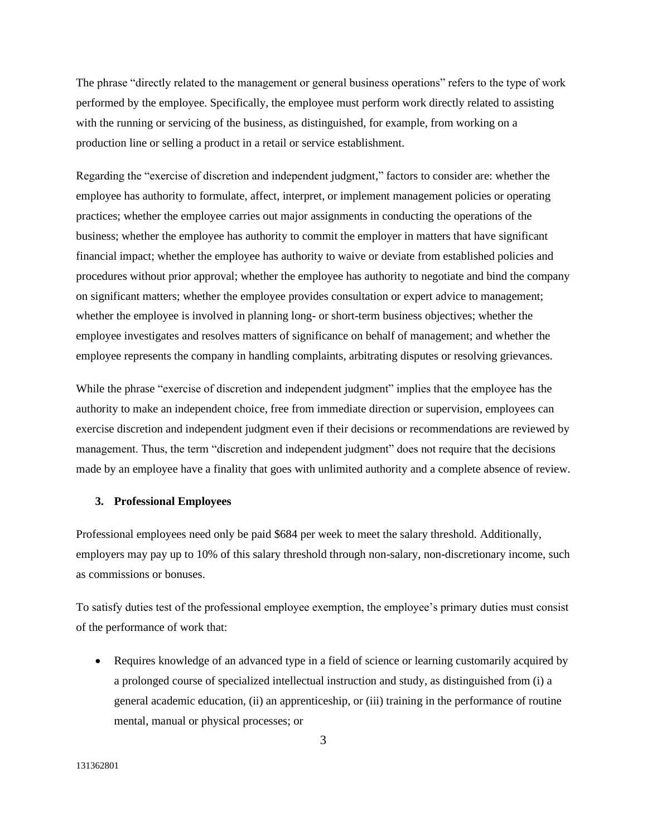The phrase "directly related to the management or general business operations" refers to the type of work performed by the employee. Specifically, the employee must perform work directly related to assisting with the running or servicing of the business, as distinguished, for example, from working on a production line or selling a product in a retail or service establishment.

Regarding the "exercise of discretion and independent judgment," factors to consider are: whether the employee has authority to formulate, affect, interpret, or implement management policies or operating practices; whether the employee carries out major assignments in conducting the operations of the business; whether the employee has authority to commit the employer in matters that have significant financial impact; whether the employee has authority to waive or deviate from established policies and procedures without prior approval; whether the employee has authority to negotiate and bind the company on significant matters; whether the employee provides consultation or expert advice to management; whether the employee is involved in planning long- or short-term business objectives; whether the employee investigates and resolves matters of significance on behalf of management; and whether the employee represents the company in handling complaints, arbitrating disputes or resolving grievances.

While the phrase "exercise of discretion and independent judgment" implies that the employee has the authority to make an independent choice, free from immediate direction or supervision, employees can exercise discretion and independent judgment even if their decisions or recommendations are reviewed by management. Thus, the term "discretion and independent judgment" does not require that the decisions made by an employee have a finality that goes with unlimited authority and a complete absence of review.

#### **3. Professional Employees**

Professional employees need only be paid \$684 per week to meet the salary threshold. Additionally, employers may pay up to 10% of this salary threshold through non-salary, non-discretionary income, such as commissions or bonuses.

To satisfy duties test of the professional employee exemption, the employee's primary duties must consist of the performance of work that:

• Requires knowledge of an advanced type in a field of science or learning customarily acquired by a prolonged course of specialized intellectual instruction and study, as distinguished from (i) a general academic education, (ii) an apprenticeship, or (iii) training in the performance of routine mental, manual or physical processes; or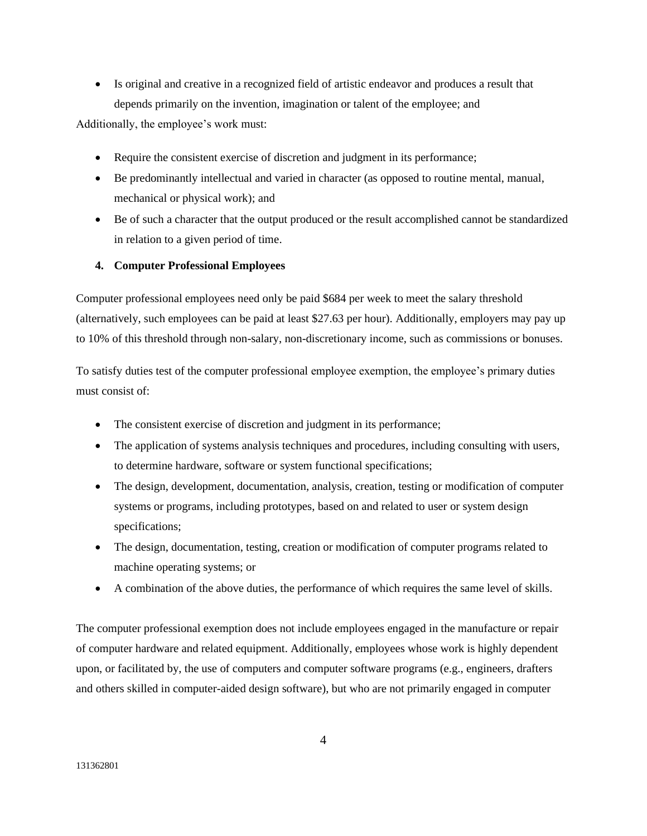• Is original and creative in a recognized field of artistic endeavor and produces a result that depends primarily on the invention, imagination or talent of the employee; and

Additionally, the employee's work must:

- Require the consistent exercise of discretion and judgment in its performance;
- Be predominantly intellectual and varied in character (as opposed to routine mental, manual, mechanical or physical work); and
- Be of such a character that the output produced or the result accomplished cannot be standardized in relation to a given period of time.

## **4. Computer Professional Employees**

Computer professional employees need only be paid \$684 per week to meet the salary threshold (alternatively, such employees can be paid at least \$27.63 per hour). Additionally, employers may pay up to 10% of this threshold through non-salary, non-discretionary income, such as commissions or bonuses.

To satisfy duties test of the computer professional employee exemption, the employee's primary duties must consist of:

- The consistent exercise of discretion and judgment in its performance;
- The application of systems analysis techniques and procedures, including consulting with users, to determine hardware, software or system functional specifications;
- The design, development, documentation, analysis, creation, testing or modification of computer systems or programs, including prototypes, based on and related to user or system design specifications;
- The design, documentation, testing, creation or modification of computer programs related to machine operating systems; or
- A combination of the above duties, the performance of which requires the same level of skills.

The computer professional exemption does not include employees engaged in the manufacture or repair of computer hardware and related equipment. Additionally, employees whose work is highly dependent upon, or facilitated by, the use of computers and computer software programs (e.g., engineers, drafters and others skilled in computer-aided design software), but who are not primarily engaged in computer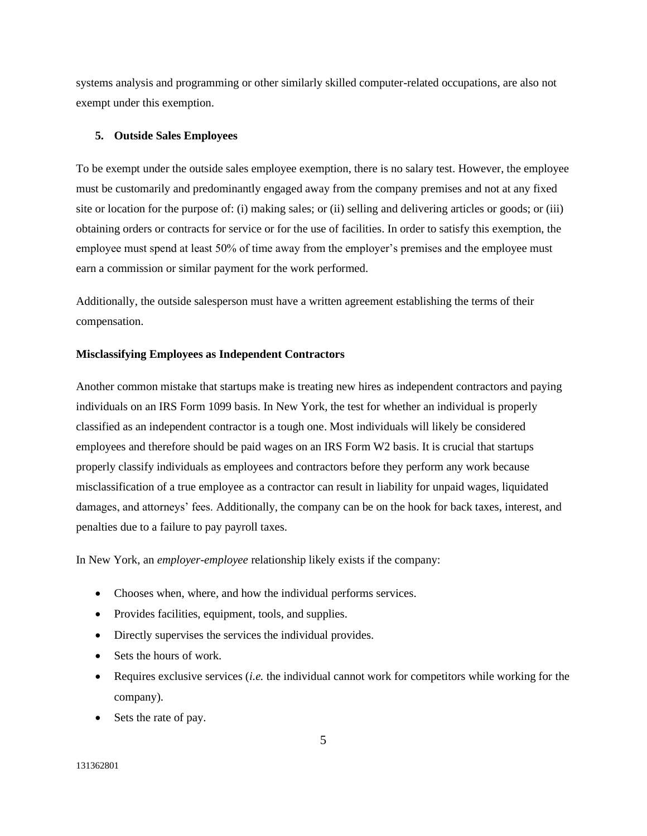systems analysis and programming or other similarly skilled computer-related occupations, are also not exempt under this exemption.

## **5. Outside Sales Employees**

To be exempt under the outside sales employee exemption, there is no salary test. However, the employee must be customarily and predominantly engaged away from the company premises and not at any fixed site or location for the purpose of: (i) making sales; or (ii) selling and delivering articles or goods; or (iii) obtaining orders or contracts for service or for the use of facilities. In order to satisfy this exemption, the employee must spend at least 50% of time away from the employer's premises and the employee must earn a commission or similar payment for the work performed.

Additionally, the outside salesperson must have a written agreement establishing the terms of their compensation.

## **Misclassifying Employees as Independent Contractors**

Another common mistake that startups make is treating new hires as independent contractors and paying individuals on an IRS Form 1099 basis. In New York, the test for whether an individual is properly classified as an independent contractor is a tough one. Most individuals will likely be considered employees and therefore should be paid wages on an IRS Form W2 basis. It is crucial that startups properly classify individuals as employees and contractors before they perform any work because misclassification of a true employee as a contractor can result in liability for unpaid wages, liquidated damages, and attorneys' fees. Additionally, the company can be on the hook for back taxes, interest, and penalties due to a failure to pay payroll taxes.

In New York, an *employer-employee* relationship likely exists if the company:

- Chooses when, where, and how the individual performs services.
- Provides facilities, equipment, tools, and supplies.
- Directly supervises the services the individual provides.
- Sets the hours of work.
- Requires exclusive services (*i.e.* the individual cannot work for competitors while working for the company).
- Sets the rate of pay.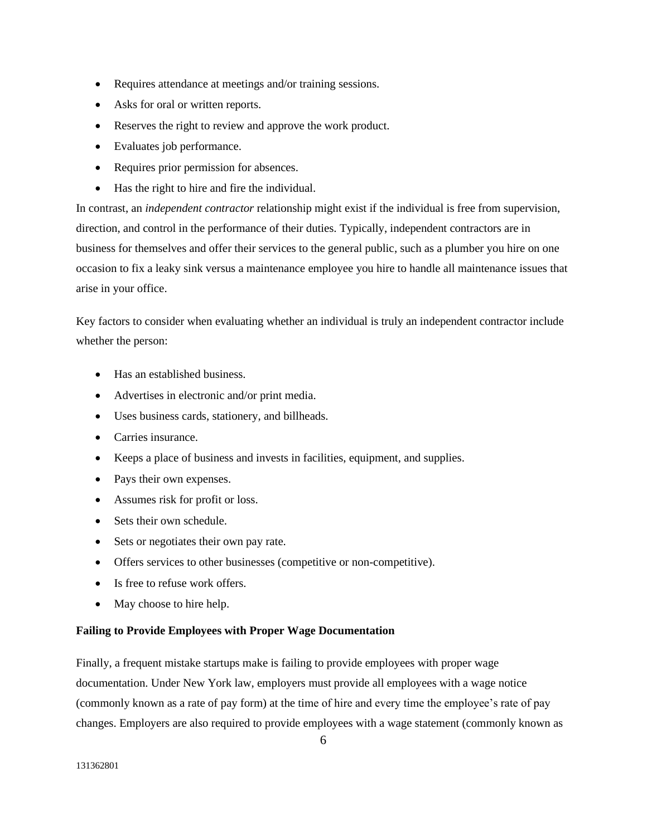- Requires attendance at meetings and/or training sessions.
- Asks for oral or written reports.
- Reserves the right to review and approve the work product.
- Evaluates job performance.
- Requires prior permission for absences.
- Has the right to hire and fire the individual.

In contrast, an *independent contractor* relationship might exist if the individual is free from supervision, direction, and control in the performance of their duties. Typically, independent contractors are in business for themselves and offer their services to the general public, such as a plumber you hire on one occasion to fix a leaky sink versus a maintenance employee you hire to handle all maintenance issues that arise in your office.

Key factors to consider when evaluating whether an individual is truly an independent contractor include whether the person:

- Has an established business.
- Advertises in electronic and/or print media.
- Uses business cards, stationery, and billheads.
- Carries insurance.
- Keeps a place of business and invests in facilities, equipment, and supplies.
- Pays their own expenses.
- Assumes risk for profit or loss.
- Sets their own schedule.
- Sets or negotiates their own pay rate.
- Offers services to other businesses (competitive or non-competitive).
- Is free to refuse work offers.
- May choose to hire help.

## **Failing to Provide Employees with Proper Wage Documentation**

Finally, a frequent mistake startups make is failing to provide employees with proper wage documentation. Under New York law, employers must provide all employees with a wage notice (commonly known as a rate of pay form) at the time of hire and every time the employee's rate of pay changes. Employers are also required to provide employees with a wage statement (commonly known as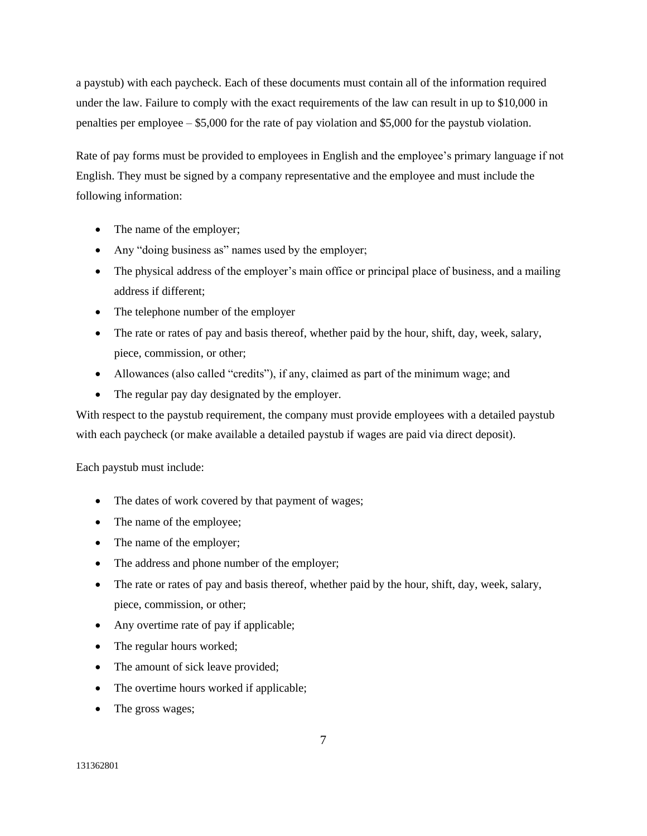a paystub) with each paycheck. Each of these documents must contain all of the information required under the law. Failure to comply with the exact requirements of the law can result in up to \$10,000 in penalties per employee – \$5,000 for the rate of pay violation and \$5,000 for the paystub violation.

Rate of pay forms must be provided to employees in English and the employee's primary language if not English. They must be signed by a company representative and the employee and must include the following information:

- The name of the employer;
- Any "doing business as" names used by the employer;
- The physical address of the employer's main office or principal place of business, and a mailing address if different;
- The telephone number of the employer
- The rate or rates of pay and basis thereof, whether paid by the hour, shift, day, week, salary, piece, commission, or other;
- Allowances (also called "credits"), if any, claimed as part of the minimum wage; and
- The regular pay day designated by the employer.

With respect to the paystub requirement, the company must provide employees with a detailed paystub with each paycheck (or make available a detailed paystub if wages are paid via direct deposit).

Each paystub must include:

- The dates of work covered by that payment of wages;
- The name of the employee;
- The name of the employer;
- The address and phone number of the employer;
- The rate or rates of pay and basis thereof, whether paid by the hour, shift, day, week, salary, piece, commission, or other;
- Any overtime rate of pay if applicable;
- The regular hours worked;
- The amount of sick leave provided;
- The overtime hours worked if applicable;
- The gross wages;